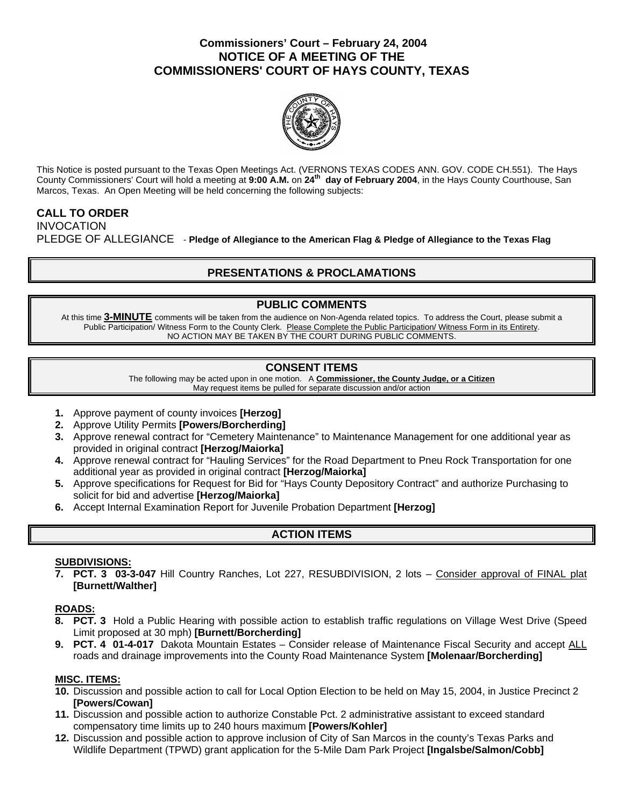### **Commissioners' Court – February 24, 2004 NOTICE OF A MEETING OF THE COMMISSIONERS' COURT OF HAYS COUNTY, TEXAS**



This Notice is posted pursuant to the Texas Open Meetings Act. (VERNONS TEXAS CODES ANN. GOV. CODE CH.551). The Hays County Commissioners' Court will hold a meeting at **9:00 A.M.** on **24th day of February 2004**, in the Hays County Courthouse, San Marcos, Texas. An Open Meeting will be held concerning the following subjects:

# **CALL TO ORDER**

INVOCATION PLEDGE OF ALLEGIANCE - **Pledge of Allegiance to the American Flag & Pledge of Allegiance to the Texas Flag** 

## **PRESENTATIONS & PROCLAMATIONS**

## **PUBLIC COMMENTS**

At this time **3-MINUTE** comments will be taken from the audience on Non-Agenda related topics. To address the Court, please submit a Public Participation/ Witness Form to the County Clerk. Please Complete the Public Participation/ Witness Form in its Entirety. NO ACTION MAY BE TAKEN BY THE COURT DURING PUBLIC COMMENTS.

## **CONSENT ITEMS**

The following may be acted upon in one motion. A **Commissioner, the County Judge, or a Citizen** May request items be pulled for separate discussion and/or action

- **1.** Approve payment of county invoices **[Herzog]**
- **2.** Approve Utility Permits **[Powers/Borcherding]**
- **3.** Approve renewal contract for "Cemetery Maintenance" to Maintenance Management for one additional year as provided in original contract **[Herzog/Maiorka]**
- **4.** Approve renewal contract for "Hauling Services" for the Road Department to Pneu Rock Transportation for one additional year as provided in original contract **[Herzog/Maiorka]**
- **5.** Approve specifications for Request for Bid for "Hays County Depository Contract" and authorize Purchasing to solicit for bid and advertise **[Herzog/Maiorka]**
- **6.** Accept Internal Examination Report for Juvenile Probation Department **[Herzog]**

## **ACTION ITEMS**

#### **SUBDIVISIONS:**

**7. PCT. 3 03-3-047** Hill Country Ranches, Lot 227, RESUBDIVISION, 2 lots – Consider approval of FINAL plat **[Burnett/Walther]** 

#### **ROADS:**

- **8. PCT. 3** Hold a Public Hearing with possible action to establish traffic regulations on Village West Drive (Speed Limit proposed at 30 mph) **[Burnett/Borcherding]**
- **9. PCT. 4 01-4-017** Dakota Mountain Estates Consider release of Maintenance Fiscal Security and accept ALL roads and drainage improvements into the County Road Maintenance System **[Molenaar/Borcherding]**

#### **MISC. ITEMS:**

- **10.** Discussion and possible action to call for Local Option Election to be held on May 15, 2004, in Justice Precinct 2 **[Powers/Cowan]**
- **11.** Discussion and possible action to authorize Constable Pct. 2 administrative assistant to exceed standard compensatory time limits up to 240 hours maximum **[Powers/Kohler]**
- **12.** Discussion and possible action to approve inclusion of City of San Marcos in the county's Texas Parks and Wildlife Department (TPWD) grant application for the 5-Mile Dam Park Project **[Ingalsbe/Salmon/Cobb]**